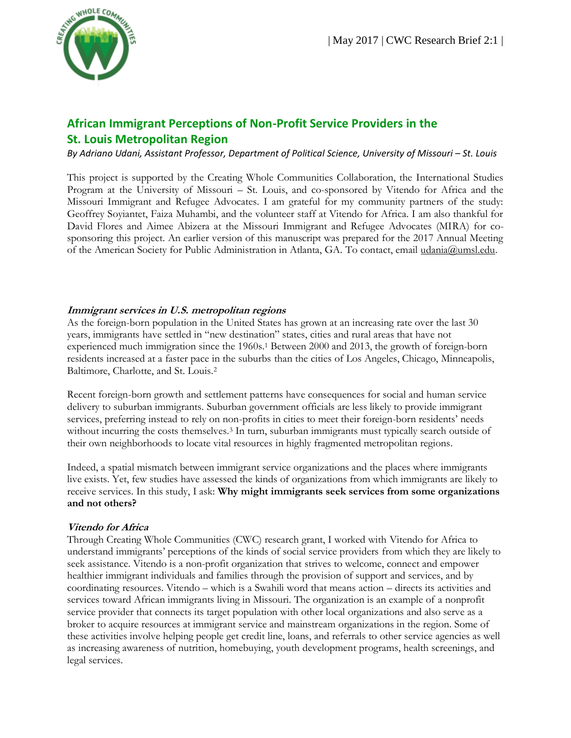

# **African Immigrant Perceptions of Non-Profit Service Providers in the St. Louis Metropolitan Region**

*By Adriano Udani, Assistant Professor, Department of Political Science, University of Missouri – St. Louis* 

This project is supported by the Creating Whole Communities Collaboration, the International Studies Program at the University of Missouri – St. Louis, and co-sponsored by Vitendo for Africa and the Missouri Immigrant and Refugee Advocates. I am grateful for my community partners of the study: Geoffrey Soyiantet, Faiza Muhambi, and the volunteer staff at Vitendo for Africa. I am also thankful for David Flores and Aimee Abizera at the Missouri Immigrant and Refugee Advocates (MIRA) for cosponsoring this project. An earlier version of this manuscript was prepared for the 2017 Annual Meeting of the American Society for Public Administration in Atlanta, GA. To contact, email [udania@umsl.edu.](mailto:udania@umsl.edu)

#### **Immigrant services in U.S. metropolitan regions**

As the foreign-born population in the United States has grown at an increasing rate over the last 30 years, immigrants have settled in "new destination" states, cities and rural areas that have not experienced much immigration since the 1960s.<sup>1</sup> Between 2000 and 2013, the growth of foreign-born residents increased at a faster pace in the suburbs than the cities of Los Angeles, Chicago, Minneapolis, Baltimore, Charlotte, and St. Louis.<sup>2</sup>

Recent foreign-born growth and settlement patterns have consequences for social and human service delivery to suburban immigrants. Suburban government officials are less likely to provide immigrant services, preferring instead to rely on non-profits in cities to meet their foreign-born residents' needs without incurring the costs themselves.<sup>3</sup> In turn, suburban immigrants must typically search outside of their own neighborhoods to locate vital resources in highly fragmented metropolitan regions.

Indeed, a spatial mismatch between immigrant service organizations and the places where immigrants live exists. Yet, few studies have assessed the kinds of organizations from which immigrants are likely to receive services. In this study, I ask: **Why might immigrants seek services from some organizations and not others?**

#### **Vitendo for Africa**

Through Creating Whole Communities (CWC) research grant, I worked with Vitendo for Africa to understand immigrants' perceptions of the kinds of social service providers from which they are likely to seek assistance. Vitendo is a non-profit organization that strives to welcome, connect and empower healthier immigrant individuals and families through the provision of support and services, and by coordinating resources. Vitendo – which is a Swahili word that means action – directs its activities and services toward African immigrants living in Missouri. The organization is an example of a nonprofit service provider that connects its target population with other local organizations and also serve as a broker to acquire resources at immigrant service and mainstream organizations in the region. Some of these activities involve helping people get credit line, loans, and referrals to other service agencies as well as increasing awareness of nutrition, homebuying, youth development programs, health screenings, and legal services.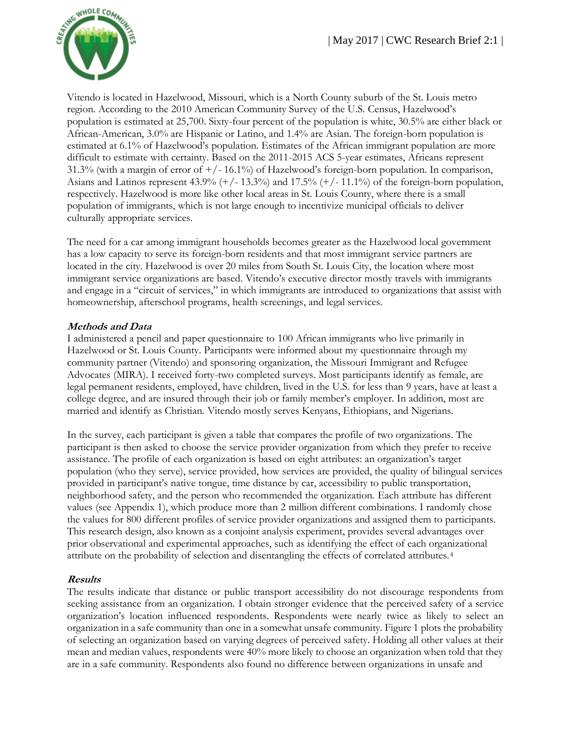

Vitendo is located in Hazelwood, Missouri, which is a North County suburb of the St. Louis metro region. According to the 2010 American Community Survey of the U.S. Census, Hazelwood's population is estimated at 25,700. Sixty-four percent of the population is white, 30.5% are either black or African-American, 3.0% are Hispanic or Latino, and 1.4% are Asian. The foreign-born population is estimated at 6.1% of Hazelwood's population. Estimates of the African immigrant population are more difficult to estimate with certainty. Based on the 2011-2015 ACS 5-year estimates, Africans represent 31.3% (with a margin of error of +/- 16.1%) of Hazelwood's foreign-born population. In comparison, Asians and Latinos represent 43.9% (+/- 13.3%) and 17.5% (+/- 11.1%) of the foreign-born population, respectively. Hazelwood is more like other local areas in St. Louis County, where there is a small population of immigrants, which is not large enough to incentivize municipal officials to deliver culturally appropriate services.

The need for a car among immigrant households becomes greater as the Hazelwood local government has a low capacity to serve its foreign-born residents and that most immigrant service partners are located in the city. Hazelwood is over 20 miles from South St. Louis City, the location where most immigrant service organizations are based. Vitendo's executive director mostly travels with immigrants and engage in a "circuit of services," in which immigrants are introduced to organizations that assist with homeownership, afterschool programs, health screenings, and legal services.

#### **Methods and Data**

I administered a pencil and paper questionnaire to 100 African immigrants who live primarily in Hazelwood or St. Louis County. Participants were informed about my questionnaire through my community partner (Vitendo) and sponsoring organization, the Missouri Immigrant and Refugee Advocates (MIRA). I received forty-two completed surveys. Most participants identify as female, are legal permanent residents, employed, have children, lived in the U.S. for less than 9 years, have at least a college degree, and are insured through their job or family member's employer. In addition, most are married and identify as Christian. Vitendo mostly serves Kenyans, Ethiopians, and Nigerians.

In the survey, each participant is given a table that compares the profile of two organizations. The participant is then asked to choose the service provider organization from which they prefer to receive assistance. The profile of each organization is based on eight attributes: an organization's target population (who they serve), service provided, how services are provided, the quality of bilingual services provided in participant's native tongue, time distance by car, accessibility to public transportation, neighborhood safety, and the person who recommended the organization. Each attribute has different values (see Appendix 1), which produce more than 2 million different combinations. I randomly chose the values for 800 different profiles of service provider organizations and assigned them to participants. This research design, also known as a conjoint analysis experiment, provides several advantages over prior observational and experimental approaches, such as identifying the effect of each organizational attribute on the probability of selection and disentangling the effects of correlated attributes.<sup>4</sup>

#### **Results**

The results indicate that distance or public transport accessibility do not discourage respondents from seeking assistance from an organization. I obtain stronger evidence that the perceived safety of a service organization's location influenced respondents. Respondents were nearly twice as likely to select an organization in a safe community than one in a somewhat unsafe community. Figure 1 plots the probability of selecting an organization based on varying degrees of perceived safety. Holding all other values at their mean and median values, respondents were 40% more likely to choose an organization when told that they are in a safe community. Respondents also found no difference between organizations in unsafe and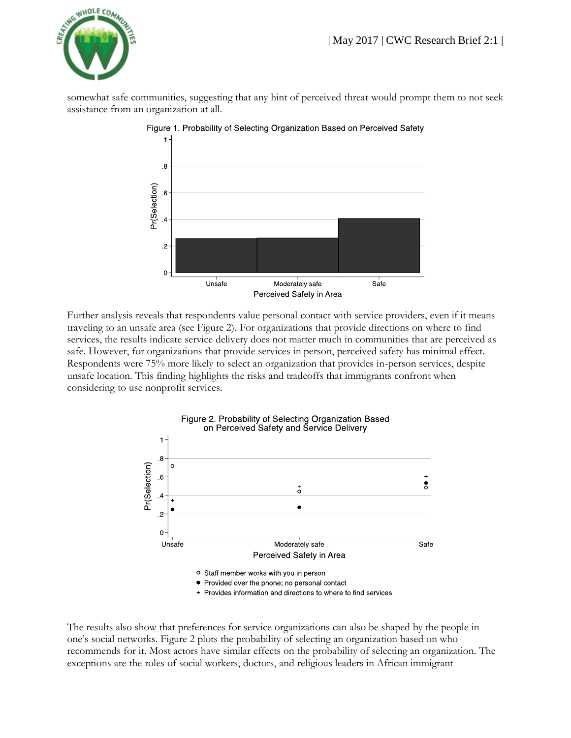

somewhat safe communities, suggesting that any hint of perceived threat would prompt them to not seek assistance from an organization at all.



Figure 1. Probability of Selecting Organization Based on Perceived Safety

Further analysis reveals that respondents value personal contact with service providers, even if it means traveling to an unsafe area (see Figure 2). For organizations that provide directions on where to find services, the results indicate service delivery does not matter much in communities that are perceived as safe. However, for organizations that provide services in person, perceived safety has minimal effect. Respondents were 75% more likely to select an organization that provides in-person services, despite unsafe location. This finding highlights the risks and tradeoffs that immigrants confront when considering to use nonprofit services.



+ Provides information and directions to where to find services

The results also show that preferences for service organizations can also be shaped by the people in one's social networks. Figure 2 plots the probability of selecting an organization based on who recommends for it. Most actors have similar effects on the probability of selecting an organization. The exceptions are the roles of social workers, doctors, and religious leaders in African immigrant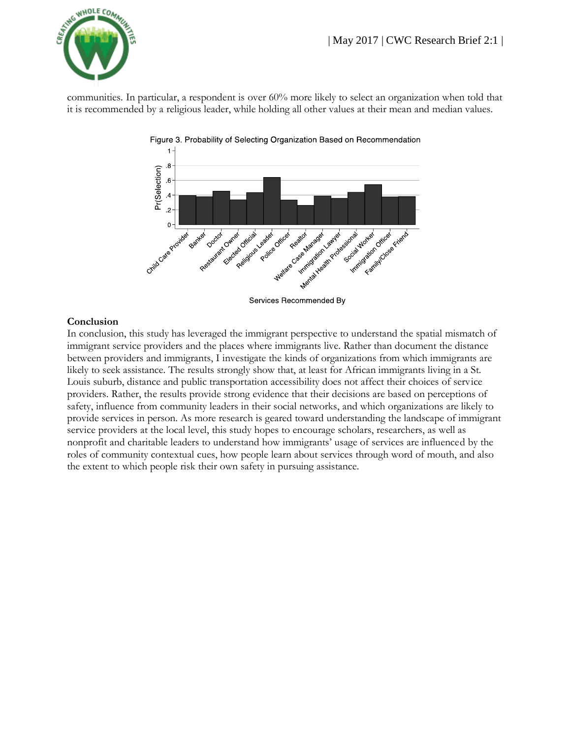

communities. In particular, a respondent is over 60% more likely to select an organization when told that it is recommended by a religious leader, while holding all other values at their mean and median values.



#### **Conclusion**

In conclusion, this study has leveraged the immigrant perspective to understand the spatial mismatch of immigrant service providers and the places where immigrants live. Rather than document the distance between providers and immigrants, I investigate the kinds of organizations from which immigrants are likely to seek assistance. The results strongly show that, at least for African immigrants living in a St. Louis suburb, distance and public transportation accessibility does not affect their choices of service providers. Rather, the results provide strong evidence that their decisions are based on perceptions of safety, influence from community leaders in their social networks, and which organizations are likely to provide services in person. As more research is geared toward understanding the landscape of immigrant service providers at the local level, this study hopes to encourage scholars, researchers, as well as nonprofit and charitable leaders to understand how immigrants' usage of services are influenced by the roles of community contextual cues, how people learn about services through word of mouth, and also the extent to which people risk their own safety in pursuing assistance.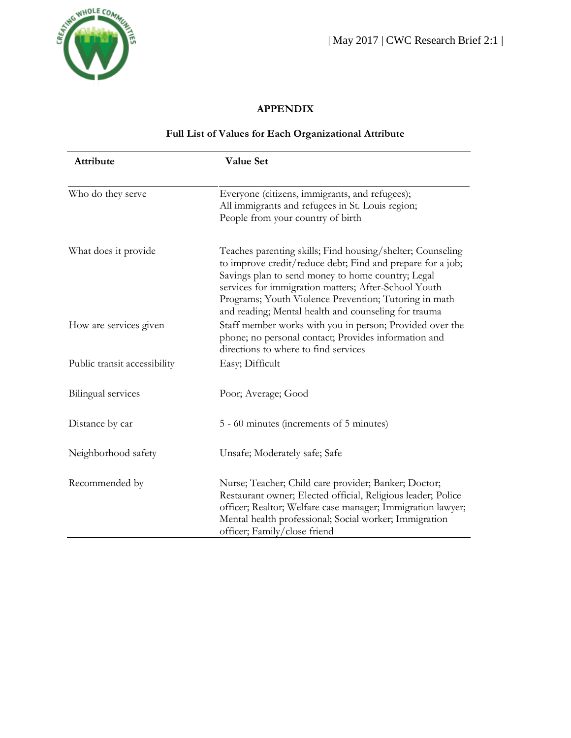

# **APPENDIX**

## **Full List of Values for Each Organizational Attribute**

| Attribute                    | Value Set                                                                                                                                                                                                                                                                                                                                              |
|------------------------------|--------------------------------------------------------------------------------------------------------------------------------------------------------------------------------------------------------------------------------------------------------------------------------------------------------------------------------------------------------|
| Who do they serve            | Everyone (citizens, immigrants, and refugees);<br>All immigrants and refugees in St. Louis region;<br>People from your country of birth                                                                                                                                                                                                                |
| What does it provide         | Teaches parenting skills; Find housing/shelter; Counseling<br>to improve credit/reduce debt; Find and prepare for a job;<br>Savings plan to send money to home country; Legal<br>services for immigration matters; After-School Youth<br>Programs; Youth Violence Prevention; Tutoring in math<br>and reading; Mental health and counseling for trauma |
| How are services given       | Staff member works with you in person; Provided over the<br>phone; no personal contact; Provides information and<br>directions to where to find services                                                                                                                                                                                               |
| Public transit accessibility | Easy; Difficult                                                                                                                                                                                                                                                                                                                                        |
| Bilingual services           | Poor; Average; Good                                                                                                                                                                                                                                                                                                                                    |
| Distance by car              | 5 - 60 minutes (increments of 5 minutes)                                                                                                                                                                                                                                                                                                               |
| Neighborhood safety          | Unsafe; Moderately safe; Safe                                                                                                                                                                                                                                                                                                                          |
| Recommended by               | Nurse; Teacher; Child care provider; Banker; Doctor;<br>Restaurant owner; Elected official, Religious leader; Police<br>officer; Realtor; Welfare case manager; Immigration lawyer;<br>Mental health professional; Social worker; Immigration<br>officer; Family/close friend                                                                          |